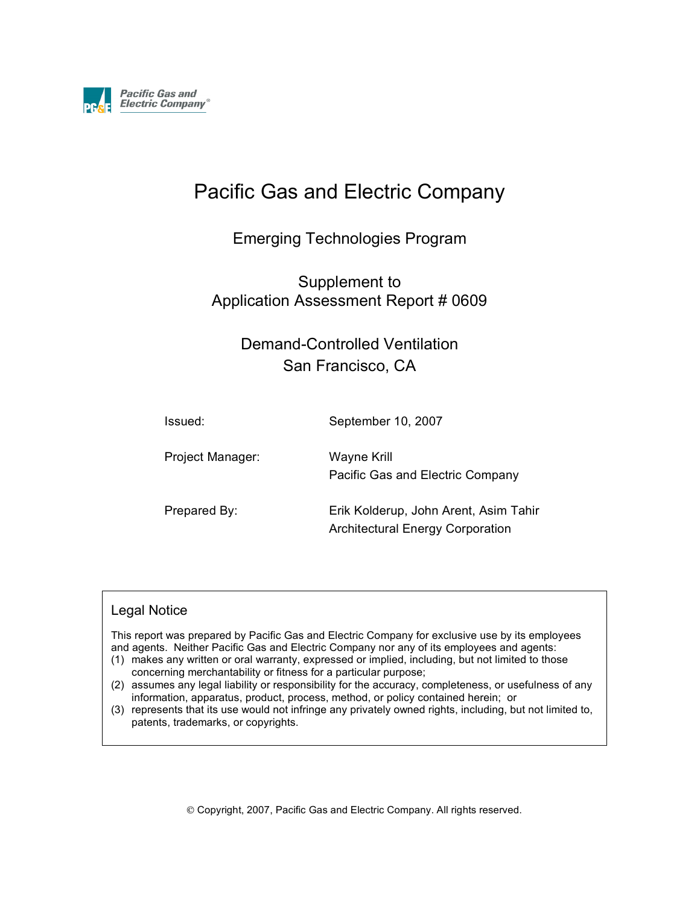

# Pacific Gas and Electric Company

## Emerging Technologies Program

Supplement to Application Assessment Report # 0609

# Demand-Controlled Ventilation San Francisco, CA

Issued: September 10, 2007 Project Manager: Wayne Krill Pacific Gas and Electric Company Prepared By: Erik Kolderup, John Arent, Asim Tahir

#### Legal Notice

This report was prepared by Pacific Gas and Electric Company for exclusive use by its employees and agents. Neither Pacific Gas and Electric Company nor any of its employees and agents:

Architectural Energy Corporation

- (1) makes any written or oral warranty, expressed or implied, including, but not limited to those concerning merchantability or fitness for a particular purpose;
- (2) assumes any legal liability or responsibility for the accuracy, completeness, or usefulness of any information, apparatus, product, process, method, or policy contained herein; or
- (3) represents that its use would not infringe any privately owned rights, including, but not limited to, patents, trademarks, or copyrights.

Copyright, 2007, Pacific Gas and Electric Company. All rights reserved.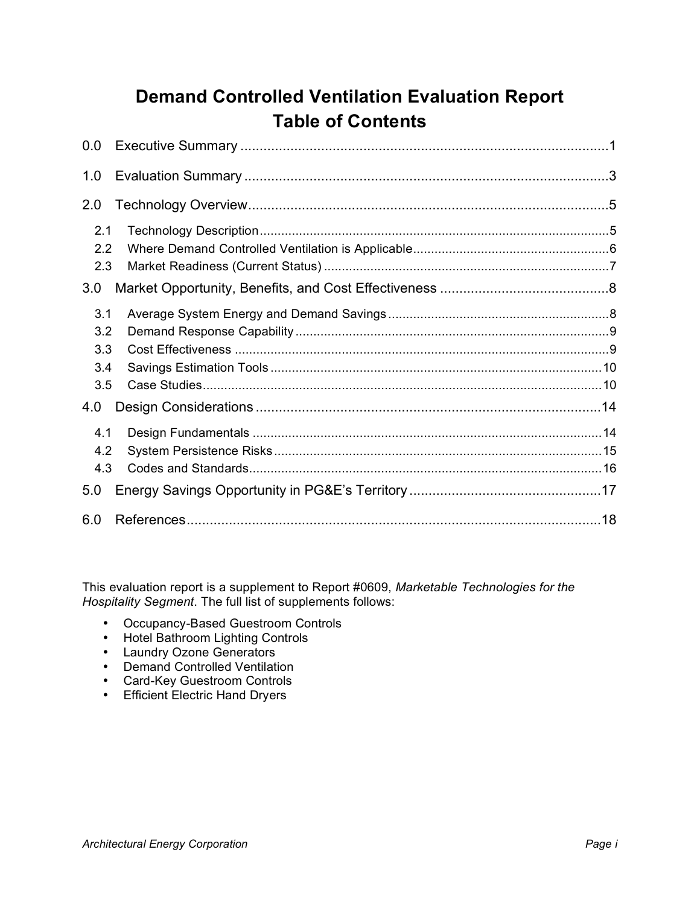# **Demand Controlled Ventilation Evaluation Report Table of Contents**

| 0.0                                    |  |
|----------------------------------------|--|
| 1.0                                    |  |
| 2.0                                    |  |
| 2.1<br>2.2<br>2.3                      |  |
| 3.0                                    |  |
| 3.1<br>3.2<br>3.3<br>3.4<br>3.5<br>4.0 |  |
| 4.1<br>4.2<br>4.3                      |  |
| 5.0                                    |  |
| 6.0                                    |  |

This evaluation report is a supplement to Report #0609, *Marketable Technologies for the Hospitality Segment*. The full list of supplements follows:

- Occupancy-Based Guestroom Controls
- Hotel Bathroom Lighting Controls
- Laundry Ozone Generators
- Demand Controlled Ventilation
- Card-Key Guestroom Controls
- Efficient Electric Hand Dryers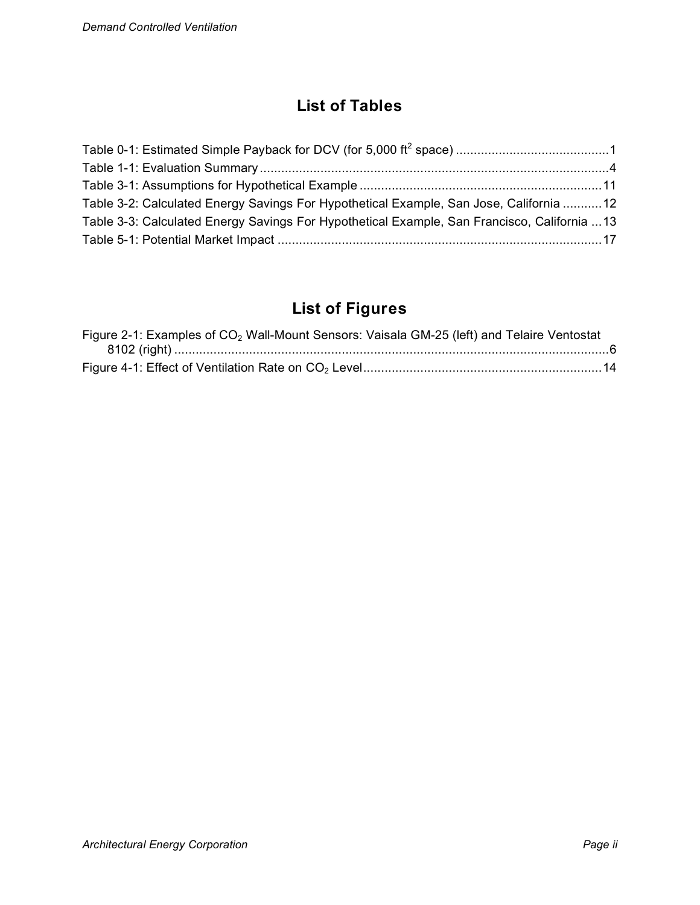# **List of Tables**

| Table 3-2: Calculated Energy Savings For Hypothetical Example, San Jose, California 12       |  |
|----------------------------------------------------------------------------------------------|--|
| Table 3-3: Calculated Energy Savings For Hypothetical Example, San Francisco, California  13 |  |
|                                                                                              |  |

# **List of Figures**

| Figure 2-1: Examples of CO <sub>2</sub> Wall-Mount Sensors: Vaisala GM-25 (left) and Telaire Ventostat |  |
|--------------------------------------------------------------------------------------------------------|--|
|                                                                                                        |  |
|                                                                                                        |  |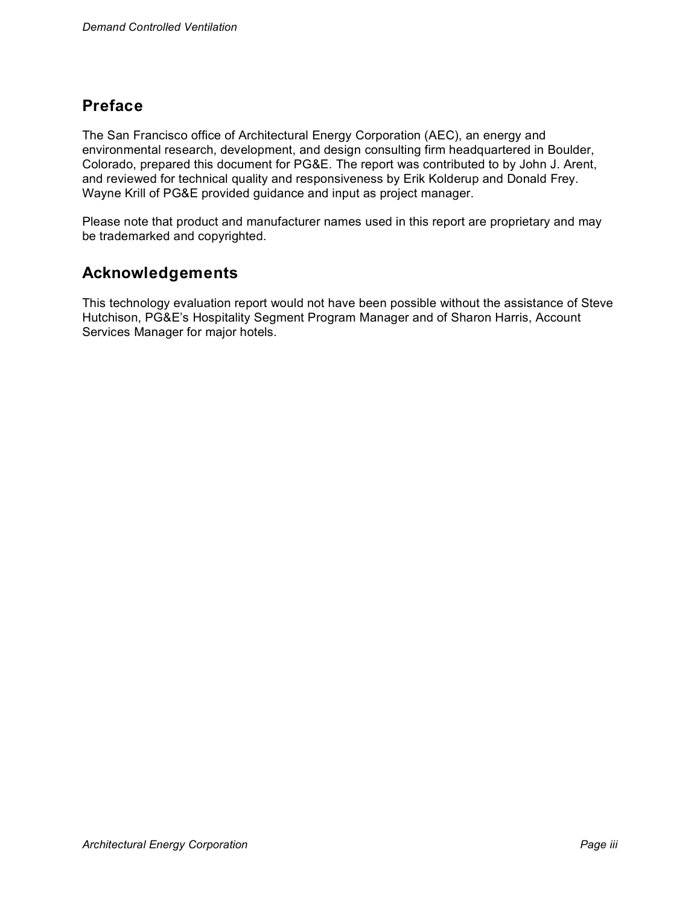# **Preface**

The San Francisco office of Architectural Energy Corporation (AEC), an energy and environmental research, development, and design consulting firm headquartered in Boulder, Colorado, prepared this document for PG&E. The report was contributed to by John J. Arent, and reviewed for technical quality and responsiveness by Erik Kolderup and Donald Frey. Wayne Krill of PG&E provided guidance and input as project manager.

Please note that product and manufacturer names used in this report are proprietary and may be trademarked and copyrighted.

## **Acknowledgements**

This technology evaluation report would not have been possible without the assistance of Steve Hutchison, PG&E's Hospitality Segment Program Manager and of Sharon Harris, Account Services Manager for major hotels.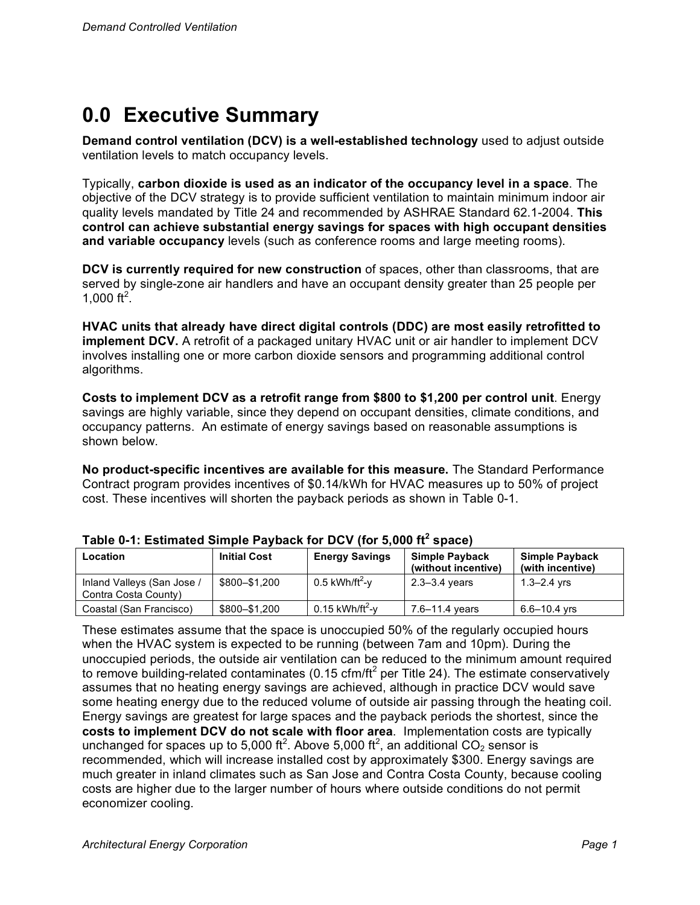# **0.0 Executive Summary**

**Demand control ventilation (DCV) is a well-established technology** used to adjust outside ventilation levels to match occupancy levels.

Typically, **carbon dioxide is used as an indicator of the occupancy level in a space**. The objective of the DCV strategy is to provide sufficient ventilation to maintain minimum indoor air quality levels mandated by Title 24 and recommended by ASHRAE Standard 62.1-2004. **This control can achieve substantial energy savings for spaces with high occupant densities and variable occupancy** levels (such as conference rooms and large meeting rooms).

**DCV is currently required for new construction** of spaces, other than classrooms, that are served by single-zone air handlers and have an occupant density greater than 25 people per 1,000 ft<sup>2</sup>.

**HVAC units that already have direct digital controls (DDC) are most easily retrofitted to implement DCV.** A retrofit of a packaged unitary HVAC unit or air handler to implement DCV involves installing one or more carbon dioxide sensors and programming additional control algorithms.

**Costs to implement DCV as a retrofit range from \$800 to \$1,200 per control unit**. Energy savings are highly variable, since they depend on occupant densities, climate conditions, and occupancy patterns. An estimate of energy savings based on reasonable assumptions is shown below.

**No product-specific incentives are available for this measure.** The Standard Performance Contract program provides incentives of \$0.14/kWh for HVAC measures up to 50% of project cost. These incentives will shorten the payback periods as shown in Table 0-1.

| Location                                           | <b>Initial Cost</b> | <b>Energy Savings</b>         | <b>Simple Payback</b><br>(without incentive) | <b>Simple Payback</b><br>(with incentive) |
|----------------------------------------------------|---------------------|-------------------------------|----------------------------------------------|-------------------------------------------|
| Inland Valleys (San Jose /<br>Contra Costa County) | \$800-\$1.200       | $0.5$ kWh/ft <sup>2</sup> -y  | $2.3 - 3.4$ years                            | $1.3 - 2.4$ yrs                           |
| Coastal (San Francisco)                            | \$800-\$1,200       | $0.15$ kWh/ft <sup>2</sup> -v | 7.6–11.4 years                               | 6.6–10.4 vrs                              |

|  | Table 0-1: Estimated Simple Payback for DCV (for 5,000 ft <sup>2</sup> space) |  |  |  |  |  |  |
|--|-------------------------------------------------------------------------------|--|--|--|--|--|--|
|--|-------------------------------------------------------------------------------|--|--|--|--|--|--|

These estimates assume that the space is unoccupied 50% of the regularly occupied hours when the HVAC system is expected to be running (between 7am and 10pm). During the unoccupied periods, the outside air ventilation can be reduced to the minimum amount required to remove building-related contaminates (0.15 cfm/ft<sup>2</sup> per Title 24). The estimate conservatively assumes that no heating energy savings are achieved, although in practice DCV would save some heating energy due to the reduced volume of outside air passing through the heating coil. Energy savings are greatest for large spaces and the payback periods the shortest, since the **costs to implement DCV do not scale with floor area**. Implementation costs are typically unchanged for spaces up to 5,000 ft<sup>2</sup>. Above 5,000 ft<sup>2</sup>, an additional CO<sub>2</sub> sensor is recommended, which will increase installed cost by approximately \$300. Energy savings are much greater in inland climates such as San Jose and Contra Costa County, because cooling costs are higher due to the larger number of hours where outside conditions do not permit economizer cooling.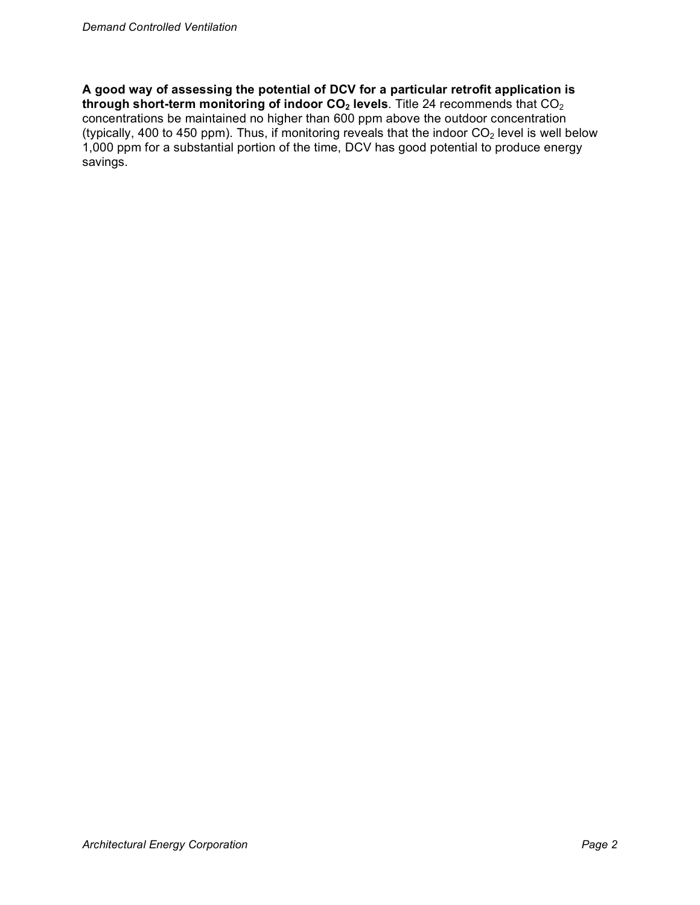**A good way of assessing the potential of DCV for a particular retrofit application is through short-term monitoring of indoor CO<sub>2</sub> levels**. Title 24 recommends that CO<sub>2</sub> concentrations be maintained no higher than 600 ppm above the outdoor concentration (typically, 400 to 450 ppm). Thus, if monitoring reveals that the indoor  $CO<sub>2</sub>$  level is well below 1,000 ppm for a substantial portion of the time, DCV has good potential to produce energy savings.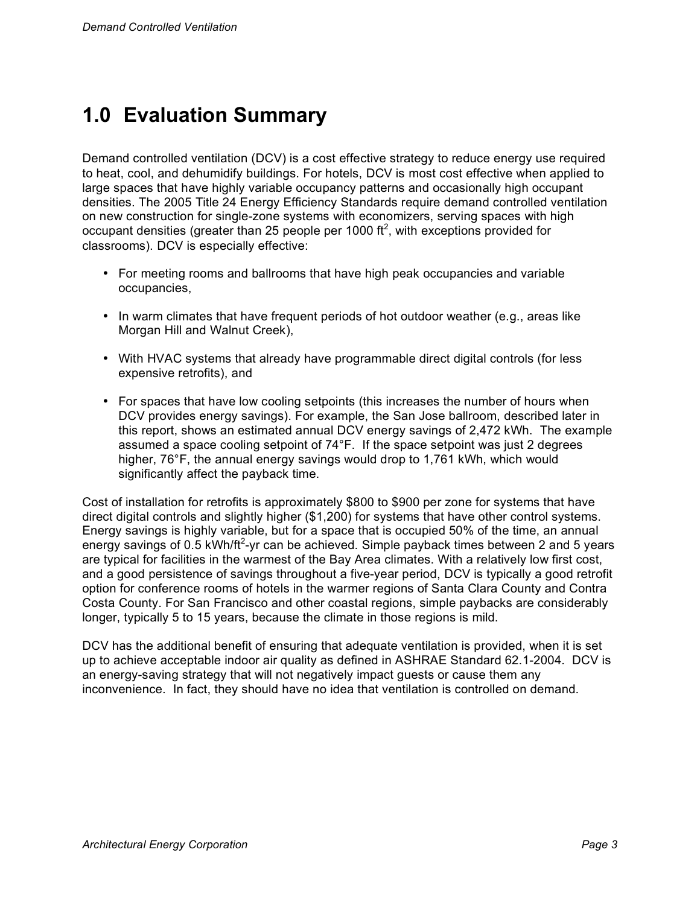# **1.0 Evaluation Summary**

Demand controlled ventilation (DCV) is a cost effective strategy to reduce energy use required to heat, cool, and dehumidify buildings. For hotels, DCV is most cost effective when applied to large spaces that have highly variable occupancy patterns and occasionally high occupant densities. The 2005 Title 24 Energy Efficiency Standards require demand controlled ventilation on new construction for single-zone systems with economizers, serving spaces with high occupant densities (greater than 25 people per 1000  $ft^2$ , with exceptions provided for classrooms). DCV is especially effective:

- For meeting rooms and ballrooms that have high peak occupancies and variable occupancies,
- In warm climates that have frequent periods of hot outdoor weather (e.g., areas like Morgan Hill and Walnut Creek),
- With HVAC systems that already have programmable direct digital controls (for less expensive retrofits), and
- For spaces that have low cooling setpoints (this increases the number of hours when DCV provides energy savings). For example, the San Jose ballroom, described later in this report, shows an estimated annual DCV energy savings of 2,472 kWh. The example assumed a space cooling setpoint of 74°F. If the space setpoint was just 2 degrees higher, 76°F, the annual energy savings would drop to 1,761 kWh, which would significantly affect the payback time.

Cost of installation for retrofits is approximately \$800 to \$900 per zone for systems that have direct digital controls and slightly higher (\$1,200) for systems that have other control systems. Energy savings is highly variable, but for a space that is occupied 50% of the time, an annual energy savings of 0.5 kWh/ft<sup>2</sup>-yr can be achieved. Simple payback times between 2 and 5 years are typical for facilities in the warmest of the Bay Area climates. With a relatively low first cost, and a good persistence of savings throughout a five-year period, DCV is typically a good retrofit option for conference rooms of hotels in the warmer regions of Santa Clara County and Contra Costa County. For San Francisco and other coastal regions, simple paybacks are considerably longer, typically 5 to 15 years, because the climate in those regions is mild.

DCV has the additional benefit of ensuring that adequate ventilation is provided, when it is set up to achieve acceptable indoor air quality as defined in ASHRAE Standard 62.1-2004. DCV is an energy-saving strategy that will not negatively impact guests or cause them any inconvenience. In fact, they should have no idea that ventilation is controlled on demand.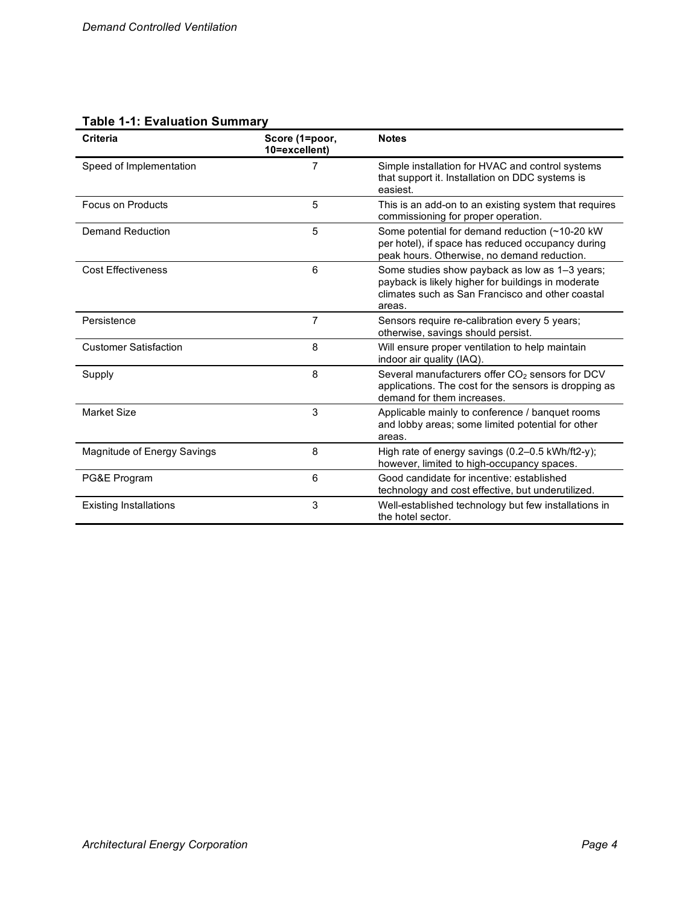## **Table 1-1: Evaluation Summary**

| <b>Criteria</b>               | Score (1=poor,<br>10=excellent) | <b>Notes</b>                                                                                                                                                       |
|-------------------------------|---------------------------------|--------------------------------------------------------------------------------------------------------------------------------------------------------------------|
| Speed of Implementation       | 7                               | Simple installation for HVAC and control systems<br>that support it. Installation on DDC systems is<br>easiest.                                                    |
| <b>Focus on Products</b>      | 5                               | This is an add-on to an existing system that requires<br>commissioning for proper operation.                                                                       |
| Demand Reduction              | 5                               | Some potential for demand reduction (~10-20 kW)<br>per hotel), if space has reduced occupancy during<br>peak hours. Otherwise, no demand reduction.                |
| <b>Cost Effectiveness</b>     | 6                               | Some studies show payback as low as 1–3 years;<br>payback is likely higher for buildings in moderate<br>climates such as San Francisco and other coastal<br>areas. |
| Persistence                   | $\overline{7}$                  | Sensors require re-calibration every 5 years;<br>otherwise, savings should persist.                                                                                |
| <b>Customer Satisfaction</b>  | 8                               | Will ensure proper ventilation to help maintain<br>indoor air quality (IAQ).                                                                                       |
| Supply                        | 8                               | Several manufacturers offer CO <sub>2</sub> sensors for DCV<br>applications. The cost for the sensors is dropping as<br>demand for them increases.                 |
| <b>Market Size</b>            | 3                               | Applicable mainly to conference / banquet rooms<br>and lobby areas; some limited potential for other<br>areas.                                                     |
| Magnitude of Energy Savings   | 8                               | High rate of energy savings (0.2–0.5 kWh/ft2-y);<br>however, limited to high-occupancy spaces.                                                                     |
| PG&E Program                  | 6                               | Good candidate for incentive: established<br>technology and cost effective, but underutilized.                                                                     |
| <b>Existing Installations</b> | 3                               | Well-established technology but few installations in<br>the hotel sector.                                                                                          |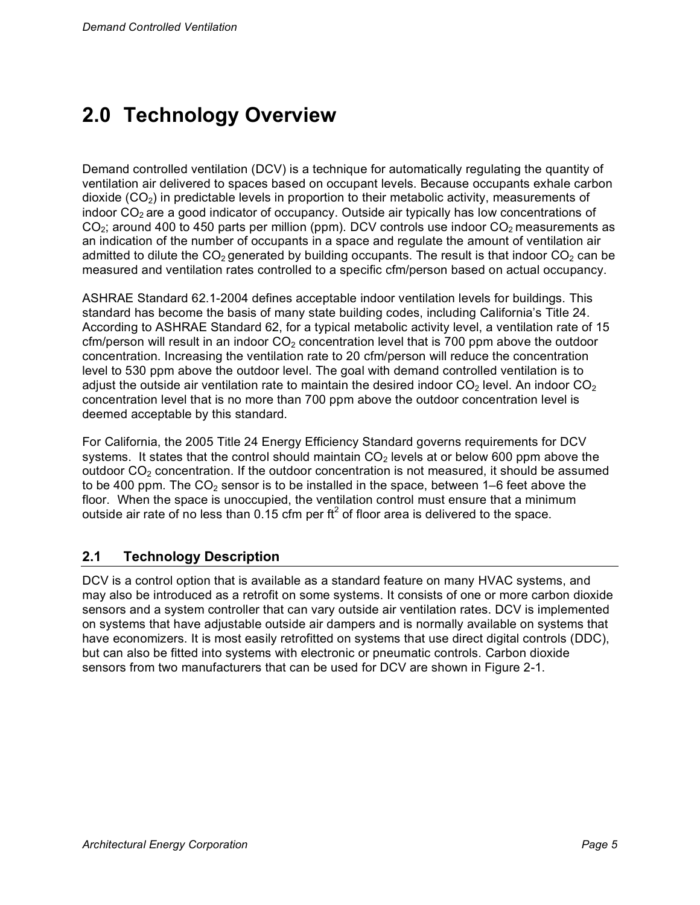# **2.0 Technology Overview**

Demand controlled ventilation (DCV) is a technique for automatically regulating the quantity of ventilation air delivered to spaces based on occupant levels. Because occupants exhale carbon dioxide ( $CO<sub>2</sub>$ ) in predictable levels in proportion to their metabolic activity, measurements of indoor  $CO<sub>2</sub>$  are a good indicator of occupancy. Outside air typically has low concentrations of  $CO<sub>2</sub>$ ; around 400 to 450 parts per million (ppm). DCV controls use indoor  $CO<sub>2</sub>$  measurements as an indication of the number of occupants in a space and regulate the amount of ventilation air admitted to dilute the  $CO<sub>2</sub>$  generated by building occupants. The result is that indoor  $CO<sub>2</sub>$  can be measured and ventilation rates controlled to a specific cfm/person based on actual occupancy.

ASHRAE Standard 62.1-2004 defines acceptable indoor ventilation levels for buildings. This standard has become the basis of many state building codes, including California's Title 24. According to ASHRAE Standard 62, for a typical metabolic activity level, a ventilation rate of 15 cfm/person will result in an indoor  $CO<sub>2</sub>$  concentration level that is 700 ppm above the outdoor concentration. Increasing the ventilation rate to 20 cfm/person will reduce the concentration level to 530 ppm above the outdoor level. The goal with demand controlled ventilation is to adjust the outside air ventilation rate to maintain the desired indoor  $CO<sub>2</sub>$  level. An indoor  $CO<sub>2</sub>$ concentration level that is no more than 700 ppm above the outdoor concentration level is deemed acceptable by this standard.

For California, the 2005 Title 24 Energy Efficiency Standard governs requirements for DCV systems. It states that the control should maintain  $CO<sub>2</sub>$  levels at or below 600 ppm above the outdoor  $CO<sub>2</sub>$  concentration. If the outdoor concentration is not measured, it should be assumed to be 400 ppm. The  $CO<sub>2</sub>$  sensor is to be installed in the space, between 1–6 feet above the floor. When the space is unoccupied, the ventilation control must ensure that a minimum outside air rate of no less than  $0.15$  cfm per ft<sup>2</sup> of floor area is delivered to the space.

## **2.1 Technology Description**

DCV is a control option that is available as a standard feature on many HVAC systems, and may also be introduced as a retrofit on some systems. It consists of one or more carbon dioxide sensors and a system controller that can vary outside air ventilation rates. DCV is implemented on systems that have adjustable outside air dampers and is normally available on systems that have economizers. It is most easily retrofitted on systems that use direct digital controls (DDC), but can also be fitted into systems with electronic or pneumatic controls. Carbon dioxide sensors from two manufacturers that can be used for DCV are shown in Figure 2-1.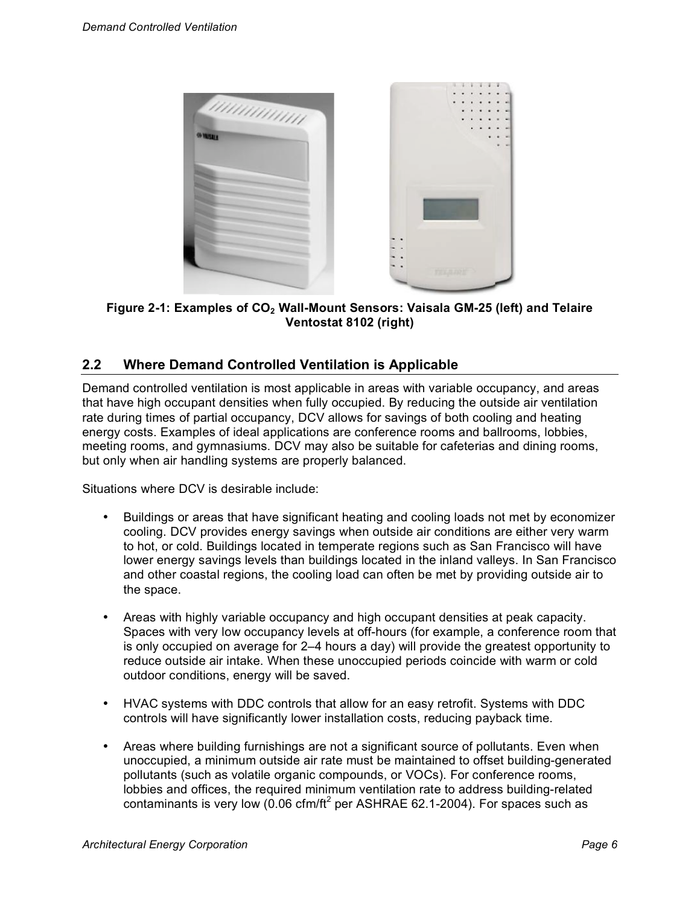

Figure 2-1: Examples of CO<sub>2</sub> Wall-Mount Sensors: Vaisala GM-25 (left) and Telaire **Ventostat 8102 (right)**

### **2.2 Where Demand Controlled Ventilation is Applicable**

Demand controlled ventilation is most applicable in areas with variable occupancy, and areas that have high occupant densities when fully occupied. By reducing the outside air ventilation rate during times of partial occupancy, DCV allows for savings of both cooling and heating energy costs. Examples of ideal applications are conference rooms and ballrooms, lobbies, meeting rooms, and gymnasiums. DCV may also be suitable for cafeterias and dining rooms, but only when air handling systems are properly balanced.

Situations where DCV is desirable include:

- Buildings or areas that have significant heating and cooling loads not met by economizer cooling. DCV provides energy savings when outside air conditions are either very warm to hot, or cold. Buildings located in temperate regions such as San Francisco will have lower energy savings levels than buildings located in the inland valleys. In San Francisco and other coastal regions, the cooling load can often be met by providing outside air to the space.
- Areas with highly variable occupancy and high occupant densities at peak capacity. Spaces with very low occupancy levels at off-hours (for example, a conference room that is only occupied on average for 2–4 hours a day) will provide the greatest opportunity to reduce outside air intake. When these unoccupied periods coincide with warm or cold outdoor conditions, energy will be saved.
- HVAC systems with DDC controls that allow for an easy retrofit. Systems with DDC controls will have significantly lower installation costs, reducing payback time.
- Areas where building furnishings are not a significant source of pollutants. Even when unoccupied, a minimum outside air rate must be maintained to offset building-generated pollutants (such as volatile organic compounds, or VOCs). For conference rooms, lobbies and offices, the required minimum ventilation rate to address building-related contaminants is very low (0.06 cfm/ft<sup>2</sup> per ASHRAE 62.1-2004). For spaces such as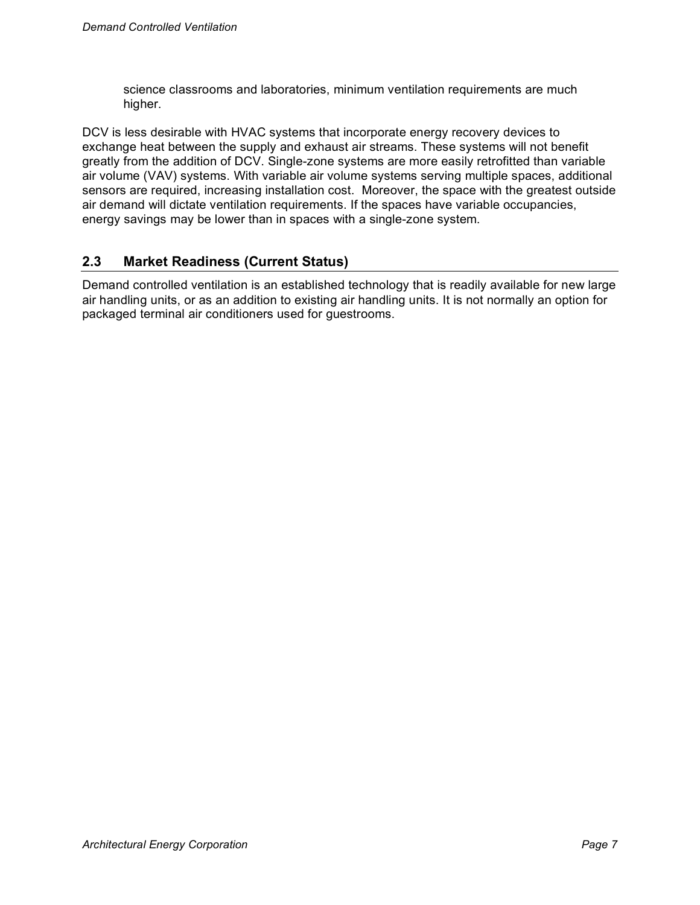science classrooms and laboratories, minimum ventilation requirements are much higher.

DCV is less desirable with HVAC systems that incorporate energy recovery devices to exchange heat between the supply and exhaust air streams. These systems will not benefit greatly from the addition of DCV. Single-zone systems are more easily retrofitted than variable air volume (VAV) systems. With variable air volume systems serving multiple spaces, additional sensors are required, increasing installation cost. Moreover, the space with the greatest outside air demand will dictate ventilation requirements. If the spaces have variable occupancies, energy savings may be lower than in spaces with a single-zone system.

### **2.3 Market Readiness (Current Status)**

Demand controlled ventilation is an established technology that is readily available for new large air handling units, or as an addition to existing air handling units. It is not normally an option for packaged terminal air conditioners used for guestrooms.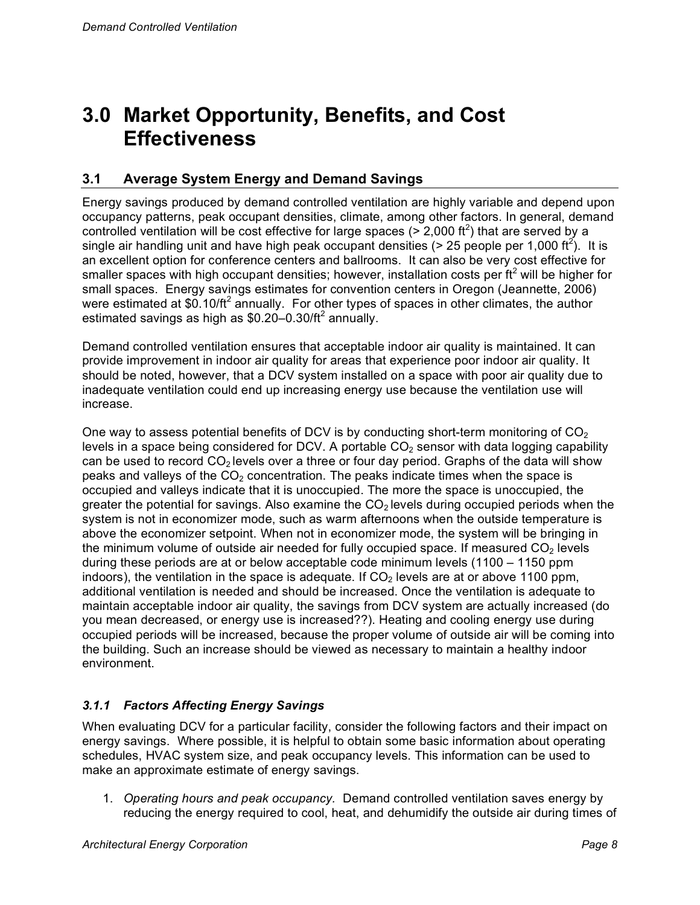# **3.0 Market Opportunity, Benefits, and Cost Effectiveness**

### **3.1 Average System Energy and Demand Savings**

Energy savings produced by demand controlled ventilation are highly variable and depend upon occupancy patterns, peak occupant densities, climate, among other factors. In general, demand controlled ventilation will be cost effective for large spaces ( $> 2,000$  ft<sup>2</sup>) that are served by a single air handling unit and have high peak occupant densities (> 25 people per 1,000 ft<sup>2</sup>). It is an excellent option for conference centers and ballrooms. It can also be very cost effective for smaller spaces with high occupant densities; however, installation costs per ft<sup>2</sup> will be higher for small spaces. Energy savings estimates for convention centers in Oregon (Jeannette, 2006) were estimated at \$0.10/ft<sup>2</sup> annually. For other types of spaces in other climates, the author estimated savings as high as  $$0.20-0.30/t<sup>2</sup>$  annually.

Demand controlled ventilation ensures that acceptable indoor air quality is maintained. It can provide improvement in indoor air quality for areas that experience poor indoor air quality. It should be noted, however, that a DCV system installed on a space with poor air quality due to inadequate ventilation could end up increasing energy use because the ventilation use will increase.

One way to assess potential benefits of DCV is by conducting short-term monitoring of  $CO<sub>2</sub>$ levels in a space being considered for DCV. A portable  $CO<sub>2</sub>$  sensor with data logging capability can be used to record  $CO<sub>2</sub>$  levels over a three or four day period. Graphs of the data will show peaks and valleys of the  $CO<sub>2</sub>$  concentration. The peaks indicate times when the space is occupied and valleys indicate that it is unoccupied. The more the space is unoccupied, the greater the potential for savings. Also examine the  $CO<sub>2</sub>$  levels during occupied periods when the system is not in economizer mode, such as warm afternoons when the outside temperature is above the economizer setpoint. When not in economizer mode, the system will be bringing in the minimum volume of outside air needed for fully occupied space. If measured  $CO<sub>2</sub>$  levels during these periods are at or below acceptable code minimum levels (1100 – 1150 ppm indoors), the ventilation in the space is adequate. If  $CO<sub>2</sub>$  levels are at or above 1100 ppm, additional ventilation is needed and should be increased. Once the ventilation is adequate to maintain acceptable indoor air quality, the savings from DCV system are actually increased (do you mean decreased, or energy use is increased??). Heating and cooling energy use during occupied periods will be increased, because the proper volume of outside air will be coming into the building. Such an increase should be viewed as necessary to maintain a healthy indoor environment.

### *3.1.1 Factors Affecting Energy Savings*

When evaluating DCV for a particular facility, consider the following factors and their impact on energy savings. Where possible, it is helpful to obtain some basic information about operating schedules, HVAC system size, and peak occupancy levels. This information can be used to make an approximate estimate of energy savings.

1. *Operating hours and peak occupancy.* Demand controlled ventilation saves energy by reducing the energy required to cool, heat, and dehumidify the outside air during times of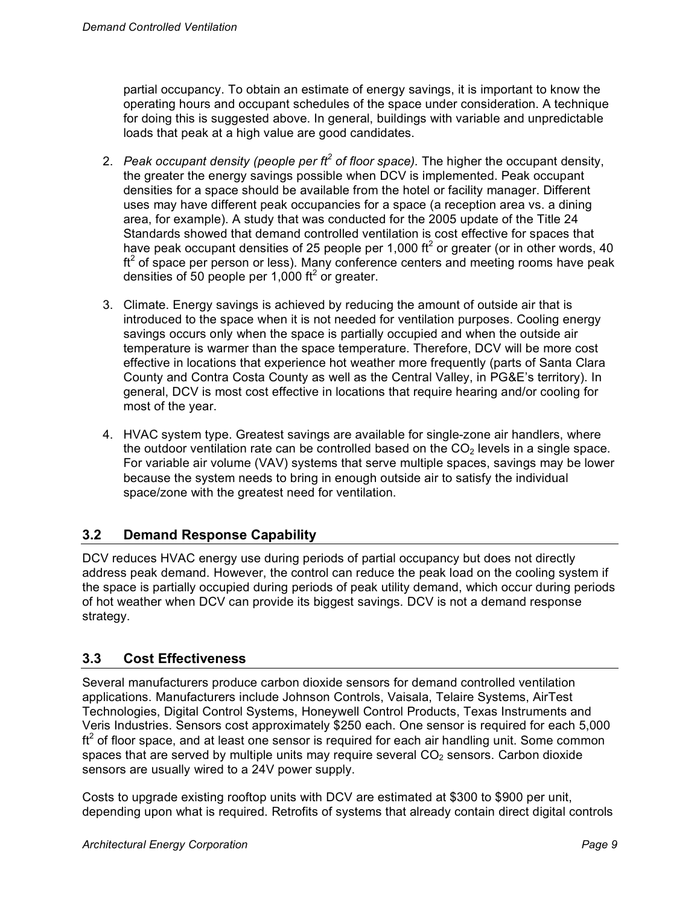partial occupancy. To obtain an estimate of energy savings, it is important to know the operating hours and occupant schedules of the space under consideration. A technique for doing this is suggested above. In general, buildings with variable and unpredictable loads that peak at a high value are good candidates.

- 2. *Peak occupant density (people per ft<sup>2</sup> of floor space).* The higher the occupant density, the greater the energy savings possible when DCV is implemented. Peak occupant densities for a space should be available from the hotel or facility manager. Different uses may have different peak occupancies for a space (a reception area vs. a dining area, for example). A study that was conducted for the 2005 update of the Title 24 Standards showed that demand controlled ventilation is cost effective for spaces that have peak occupant densities of 25 people per 1,000 ft<sup>2</sup> or greater (or in other words, 40  $ft<sup>2</sup>$  of space per person or less). Many conference centers and meeting rooms have peak densities of 50 people per 1,000 ft<sup>2</sup> or greater.
- 3. Climate. Energy savings is achieved by reducing the amount of outside air that is introduced to the space when it is not needed for ventilation purposes. Cooling energy savings occurs only when the space is partially occupied and when the outside air temperature is warmer than the space temperature. Therefore, DCV will be more cost effective in locations that experience hot weather more frequently (parts of Santa Clara County and Contra Costa County as well as the Central Valley, in PG&E's territory). In general, DCV is most cost effective in locations that require hearing and/or cooling for most of the year.
- 4. HVAC system type. Greatest savings are available for single-zone air handlers, where the outdoor ventilation rate can be controlled based on the  $CO<sub>2</sub>$  levels in a single space. For variable air volume (VAV) systems that serve multiple spaces, savings may be lower because the system needs to bring in enough outside air to satisfy the individual space/zone with the greatest need for ventilation.

## **3.2 Demand Response Capability**

DCV reduces HVAC energy use during periods of partial occupancy but does not directly address peak demand. However, the control can reduce the peak load on the cooling system if the space is partially occupied during periods of peak utility demand, which occur during periods of hot weather when DCV can provide its biggest savings. DCV is not a demand response strategy.

### **3.3 Cost Effectiveness**

Several manufacturers produce carbon dioxide sensors for demand controlled ventilation applications. Manufacturers include Johnson Controls, Vaisala, Telaire Systems, AirTest Technologies, Digital Control Systems, Honeywell Control Products, Texas Instruments and Veris Industries. Sensors cost approximately \$250 each. One sensor is required for each 5,000  $ft<sup>2</sup>$  of floor space, and at least one sensor is required for each air handling unit. Some common spaces that are served by multiple units may require several  $CO<sub>2</sub>$  sensors. Carbon dioxide sensors are usually wired to a 24V power supply.

Costs to upgrade existing rooftop units with DCV are estimated at \$300 to \$900 per unit, depending upon what is required. Retrofits of systems that already contain direct digital controls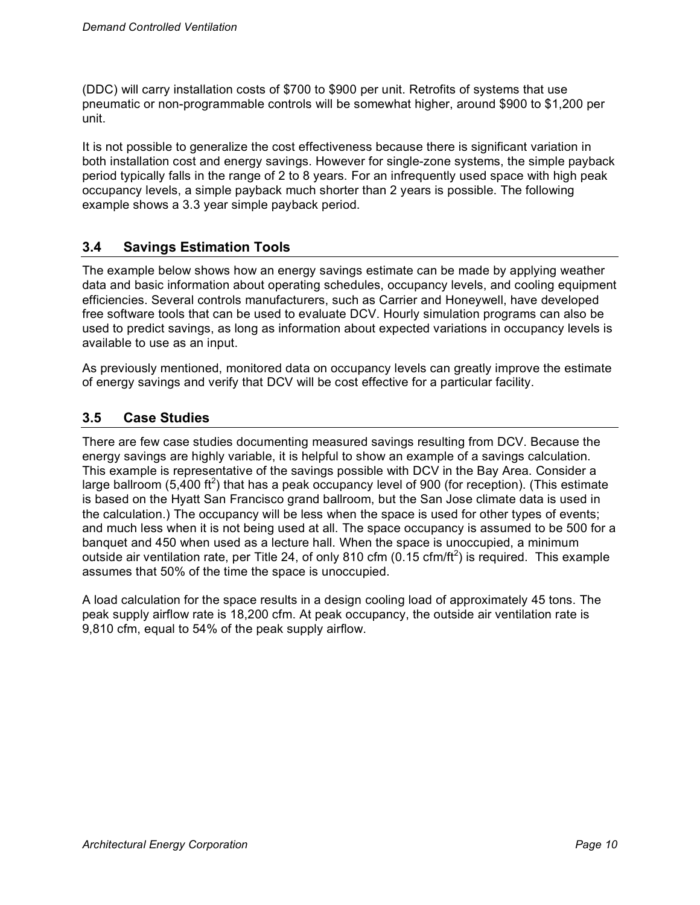(DDC) will carry installation costs of \$700 to \$900 per unit. Retrofits of systems that use pneumatic or non-programmable controls will be somewhat higher, around \$900 to \$1,200 per unit.

It is not possible to generalize the cost effectiveness because there is significant variation in both installation cost and energy savings. However for single-zone systems, the simple payback period typically falls in the range of 2 to 8 years. For an infrequently used space with high peak occupancy levels, a simple payback much shorter than 2 years is possible. The following example shows a 3.3 year simple payback period.

### **3.4 Savings Estimation Tools**

The example below shows how an energy savings estimate can be made by applying weather data and basic information about operating schedules, occupancy levels, and cooling equipment efficiencies. Several controls manufacturers, such as Carrier and Honeywell, have developed free software tools that can be used to evaluate DCV. Hourly simulation programs can also be used to predict savings, as long as information about expected variations in occupancy levels is available to use as an input.

As previously mentioned, monitored data on occupancy levels can greatly improve the estimate of energy savings and verify that DCV will be cost effective for a particular facility.

### **3.5 Case Studies**

There are few case studies documenting measured savings resulting from DCV. Because the energy savings are highly variable, it is helpful to show an example of a savings calculation. This example is representative of the savings possible with DCV in the Bay Area. Consider a large ballroom (5,400 ft<sup>2</sup>) that has a peak occupancy level of 900 (for reception). (This estimate is based on the Hyatt San Francisco grand ballroom, but the San Jose climate data is used in the calculation.) The occupancy will be less when the space is used for other types of events; and much less when it is not being used at all. The space occupancy is assumed to be 500 for a banquet and 450 when used as a lecture hall. When the space is unoccupied, a minimum outside air ventilation rate, per Title 24, of only 810 cfm (0.15 cfm/ft<sup>2</sup>) is required. This example assumes that 50% of the time the space is unoccupied.

A load calculation for the space results in a design cooling load of approximately 45 tons. The peak supply airflow rate is 18,200 cfm. At peak occupancy, the outside air ventilation rate is 9,810 cfm, equal to 54% of the peak supply airflow.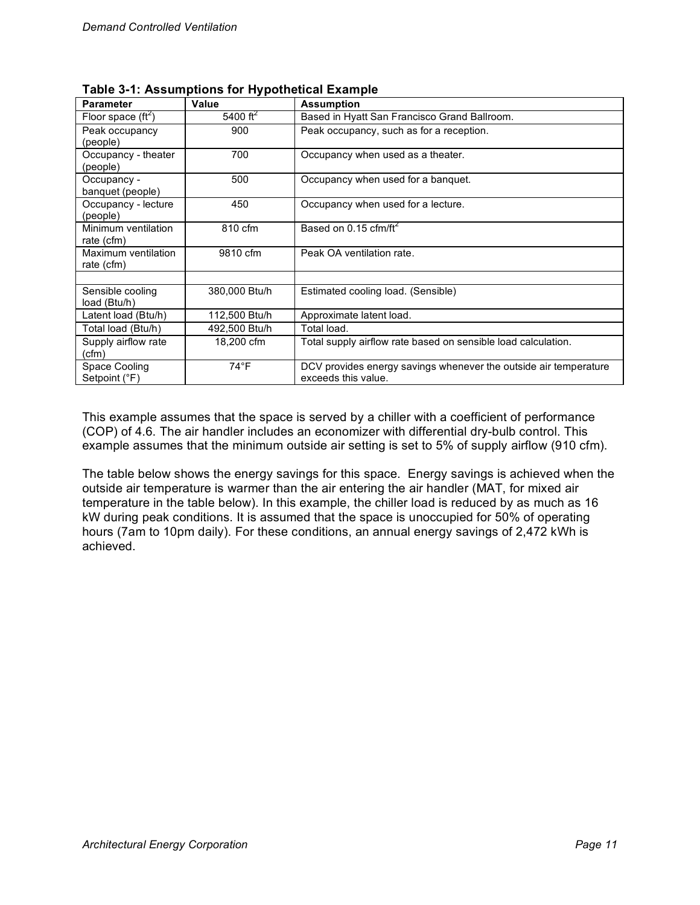| <b>Parameter</b>     | Value         | <b>Assumption</b>                                                |  |  |  |  |  |
|----------------------|---------------|------------------------------------------------------------------|--|--|--|--|--|
| Floor space $(ft^2)$ | 5400 $ft^2$   | Based in Hyatt San Francisco Grand Ballroom.                     |  |  |  |  |  |
| Peak occupancy       | 900           | Peak occupancy, such as for a reception.                         |  |  |  |  |  |
| (people)             |               |                                                                  |  |  |  |  |  |
| Occupancy - theater  | 700           | Occupancy when used as a theater.                                |  |  |  |  |  |
| (people)             |               |                                                                  |  |  |  |  |  |
| Occupancy -          | 500           | Occupancy when used for a banquet.                               |  |  |  |  |  |
| banquet (people)     |               |                                                                  |  |  |  |  |  |
| Occupancy - lecture  | 450           | Occupancy when used for a lecture.                               |  |  |  |  |  |
| (people)             |               |                                                                  |  |  |  |  |  |
| Minimum ventilation  | 810 cfm       | Based on 0.15 cfm/ft <sup>2</sup>                                |  |  |  |  |  |
| rate (cfm)           |               |                                                                  |  |  |  |  |  |
| Maximum ventilation  | 9810 cfm      | Peak OA ventilation rate.                                        |  |  |  |  |  |
| rate (cfm)           |               |                                                                  |  |  |  |  |  |
|                      |               |                                                                  |  |  |  |  |  |
| Sensible cooling     | 380,000 Btu/h | Estimated cooling load. (Sensible)                               |  |  |  |  |  |
| load (Btu/h)         |               |                                                                  |  |  |  |  |  |
| Latent load (Btu/h)  | 112,500 Btu/h | Approximate latent load.                                         |  |  |  |  |  |
| Total load (Btu/h)   | 492,500 Btu/h | Total load.                                                      |  |  |  |  |  |
| Supply airflow rate  | 18,200 cfm    | Total supply airflow rate based on sensible load calculation.    |  |  |  |  |  |
| (cfm)                |               |                                                                  |  |  |  |  |  |
| Space Cooling        | $74^{\circ}F$ | DCV provides energy savings whenever the outside air temperature |  |  |  |  |  |
| Setpoint (°F)        |               | exceeds this value.                                              |  |  |  |  |  |

**Table 3-1: Assumptions for Hypothetical Example**

This example assumes that the space is served by a chiller with a coefficient of performance (COP) of 4.6. The air handler includes an economizer with differential dry-bulb control. This example assumes that the minimum outside air setting is set to 5% of supply airflow (910 cfm).

The table below shows the energy savings for this space. Energy savings is achieved when the outside air temperature is warmer than the air entering the air handler (MAT, for mixed air temperature in the table below). In this example, the chiller load is reduced by as much as 16 kW during peak conditions. It is assumed that the space is unoccupied for 50% of operating hours (7am to 10pm daily). For these conditions, an annual energy savings of 2,472 kWh is achieved.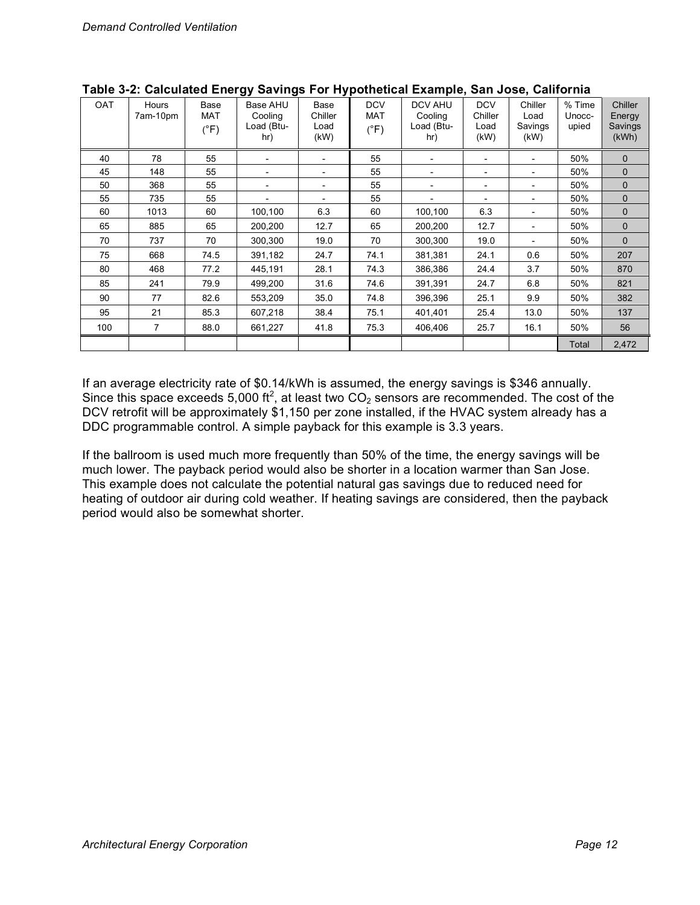| <b>OAT</b> | Hours<br>7am-10pm | Base<br><b>MAT</b><br>$(^{\circ}F)$ | ັ<br>◡<br>Base AHU<br>Cooling<br>Load (Btu-<br>hr) | Base<br>Chiller<br>Load<br>(kW) | <b>DCV</b><br><b>MAT</b><br>$(^{\circ}F)$ | <b>DCV AHU</b><br>Cooling<br>Load (Btu-<br>hr) | <b>DCV</b><br>Chiller<br>Load<br>(kW) | Chiller<br>Load<br>Savings<br>(KW) | % Time<br>Unocc-<br>upied | Chiller<br>Energy<br>Savings<br>(kWh) |
|------------|-------------------|-------------------------------------|----------------------------------------------------|---------------------------------|-------------------------------------------|------------------------------------------------|---------------------------------------|------------------------------------|---------------------------|---------------------------------------|
| 40         | 78                | 55                                  |                                                    |                                 | 55                                        |                                                |                                       |                                    | 50%                       | $\mathbf 0$                           |
| 45         | 148               | 55                                  | $\overline{\phantom{a}}$                           |                                 | 55                                        | $\overline{\phantom{a}}$                       | -                                     | $\qquad \qquad \blacksquare$       | 50%                       | $\mathbf 0$                           |
| 50         | 368               | 55                                  | $\overline{\phantom{a}}$                           | -                               | 55                                        | $\overline{\phantom{0}}$                       | -                                     | $\qquad \qquad \blacksquare$       | 50%                       | $\mathbf 0$                           |
| 55         | 735               | 55                                  | $\overline{\phantom{a}}$                           | -                               | 55                                        | $\overline{a}$                                 | $\overline{\phantom{0}}$              | $\overline{\phantom{a}}$           | 50%                       | $\mathbf 0$                           |
| 60         | 1013              | 60                                  | 100,100                                            | 6.3                             | 60                                        | 100,100                                        | 6.3                                   | $\overline{a}$                     | 50%                       | $\mathbf 0$                           |
| 65         | 885               | 65                                  | 200,200                                            | 12.7                            | 65                                        | 200,200                                        | 12.7                                  |                                    | 50%                       | $\mathbf 0$                           |
| 70         | 737               | 70                                  | 300,300                                            | 19.0                            | 70                                        | 300,300                                        | 19.0                                  | $\overline{a}$                     | 50%                       | $\mathbf 0$                           |
| 75         | 668               | 74.5                                | 391,182                                            | 24.7                            | 74.1                                      | 381,381                                        | 24.1                                  | 0.6                                | 50%                       | 207                                   |
| 80         | 468               | 77.2                                | 445,191                                            | 28.1                            | 74.3                                      | 386,386                                        | 24.4                                  | 3.7                                | 50%                       | 870                                   |
| 85         | 241               | 79.9                                | 499,200                                            | 31.6                            | 74.6                                      | 391,391                                        | 24.7                                  | 6.8                                | 50%                       | 821                                   |
| 90         | 77                | 82.6                                | 553,209                                            | 35.0                            | 74.8                                      | 396,396                                        | 25.1                                  | 9.9                                | 50%                       | 382                                   |
| 95         | 21                | 85.3                                | 607,218                                            | 38.4                            | 75.1                                      | 401,401                                        | 25.4                                  | 13.0                               | 50%                       | 137                                   |
| 100        | 7                 | 88.0                                | 661,227                                            | 41.8                            | 75.3                                      | 406,406                                        | 25.7                                  | 16.1                               | 50%                       | 56                                    |
|            |                   |                                     |                                                    |                                 |                                           |                                                |                                       |                                    | Total                     | 2,472                                 |

| Table 3-2: Calculated Energy Savings For Hypothetical Example, San Jose, California |  |  |  |
|-------------------------------------------------------------------------------------|--|--|--|
|-------------------------------------------------------------------------------------|--|--|--|

If an average electricity rate of \$0.14/kWh is assumed, the energy savings is \$346 annually. Since this space exceeds 5,000 ft<sup>2</sup>, at least two CO<sub>2</sub> sensors are recommended. The cost of the DCV retrofit will be approximately \$1,150 per zone installed, if the HVAC system already has a DDC programmable control. A simple payback for this example is 3.3 years.

If the ballroom is used much more frequently than 50% of the time, the energy savings will be much lower. The payback period would also be shorter in a location warmer than San Jose. This example does not calculate the potential natural gas savings due to reduced need for heating of outdoor air during cold weather. If heating savings are considered, then the payback period would also be somewhat shorter.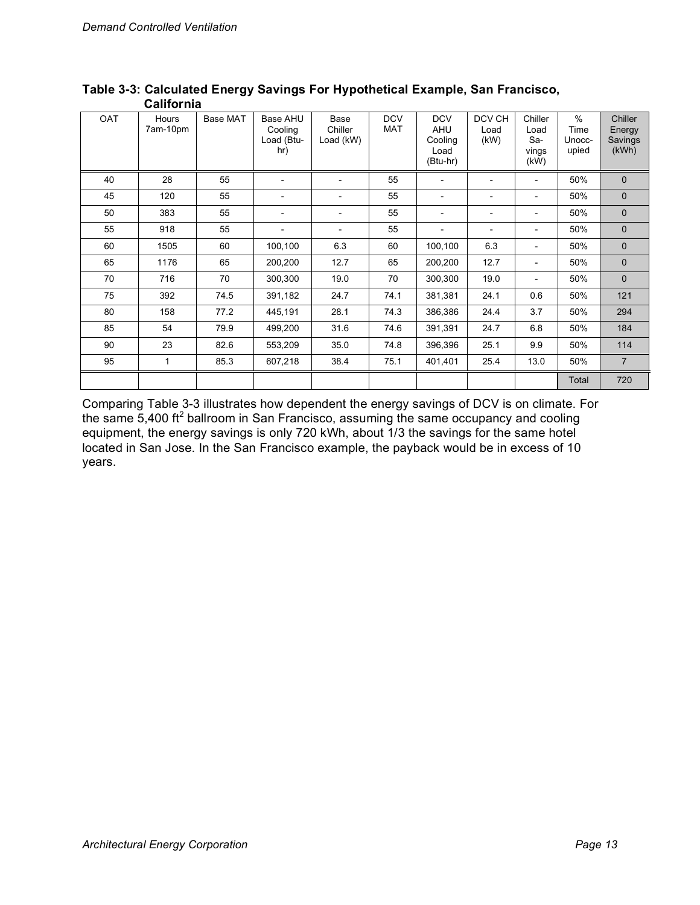| <b>OAT</b> | Hours<br>7am-10pm | Base MAT | Base AHU<br>Cooling<br>Load (Btu-<br>hr) | Base<br>Chiller<br>Load (kW) | <b>DCV</b><br><b>MAT</b> | <b>DCV</b><br><b>AHU</b><br>Cooling<br>Load<br>(Btu-hr) | DCV CH<br>Load<br>(kW) | Chiller<br>Load<br>Sa-<br>vings<br>(kW) | $\%$<br>Time<br>Unocc-<br>upied | Chiller<br>Energy<br>Savings<br>(kWh) |
|------------|-------------------|----------|------------------------------------------|------------------------------|--------------------------|---------------------------------------------------------|------------------------|-----------------------------------------|---------------------------------|---------------------------------------|
| 40         | 28                | 55       | $\overline{a}$                           |                              | 55                       | $\overline{a}$                                          |                        |                                         | 50%                             | $\mathbf{0}$                          |
| 45         | 120               | 55       |                                          |                              | 55                       | $\qquad \qquad \blacksquare$                            |                        |                                         | 50%                             | $\mathbf{0}$                          |
| 50         | 383               | 55       | $\overline{\phantom{a}}$                 | $\overline{\phantom{0}}$     | 55                       | $\overline{\phantom{a}}$                                |                        |                                         | 50%                             | $\mathbf 0$                           |
| 55         | 918               | 55       | $\overline{\phantom{a}}$                 | $\overline{\phantom{a}}$     | 55                       | $\overline{a}$                                          |                        |                                         | 50%                             | $\mathbf 0$                           |
| 60         | 1505              | 60       | 100,100                                  | 6.3                          | 60                       | 100,100                                                 | 6.3                    |                                         | 50%                             | $\mathbf{0}$                          |
| 65         | 1176              | 65       | 200,200                                  | 12.7                         | 65                       | 200,200                                                 | 12.7                   |                                         | 50%                             | $\mathbf 0$                           |
| 70         | 716               | 70       | 300,300                                  | 19.0                         | 70                       | 300,300                                                 | 19.0                   |                                         | 50%                             | $\mathbf 0$                           |
| 75         | 392               | 74.5     | 391,182                                  | 24.7                         | 74.1                     | 381,381                                                 | 24.1                   | 0.6                                     | 50%                             | 121                                   |
| 80         | 158               | 77.2     | 445,191                                  | 28.1                         | 74.3                     | 386,386                                                 | 24.4                   | 3.7                                     | 50%                             | 294                                   |
| 85         | 54                | 79.9     | 499,200                                  | 31.6                         | 74.6                     | 391,391                                                 | 24.7                   | 6.8                                     | 50%                             | 184                                   |
| 90         | 23                | 82.6     | 553,209                                  | 35.0                         | 74.8                     | 396,396                                                 | 25.1                   | 9.9                                     | 50%                             | 114                                   |
| 95         | 1                 | 85.3     | 607,218                                  | 38.4                         | 75.1                     | 401,401                                                 | 25.4                   | 13.0                                    | 50%                             | $\overline{7}$                        |
|            |                   |          |                                          |                              |                          |                                                         |                        |                                         | Total                           | 720                                   |

#### **Table 3-3: Calculated Energy Savings For Hypothetical Example, San Francisco, California**

Comparing Table 3-3 illustrates how dependent the energy savings of DCV is on climate. For the same 5,400 ft<sup>2</sup> ballroom in San Francisco, assuming the same occupancy and cooling equipment, the energy savings is only 720 kWh, about 1/3 the savings for the same hotel located in San Jose. In the San Francisco example, the payback would be in excess of 10 years.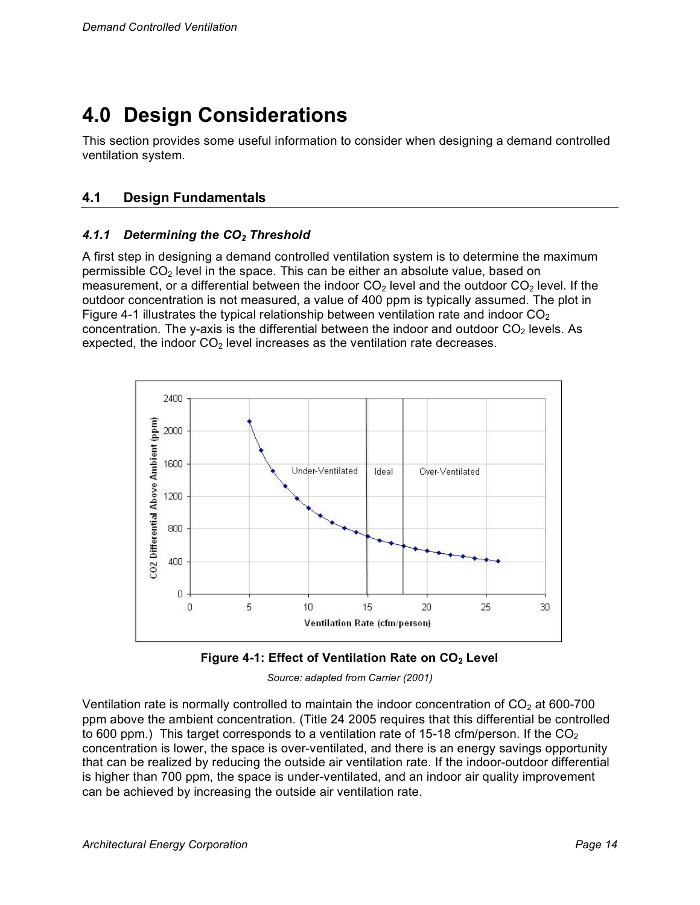# **4.0 Design Considerations**

This section provides some useful information to consider when designing a demand controlled ventilation system.

## **4.1 Design Fundamentals**

#### *4.1.1 Determining the CO2 Threshold*

A first step in designing a demand controlled ventilation system is to determine the maximum permissible  $CO<sub>2</sub>$  level in the space. This can be either an absolute value, based on measurement, or a differential between the indoor  $CO<sub>2</sub>$  level and the outdoor  $CO<sub>2</sub>$  level. If the outdoor concentration is not measured, a value of 400 ppm is typically assumed. The plot in Figure 4-1 illustrates the typical relationship between ventilation rate and indoor  $CO<sub>2</sub>$ concentration. The y-axis is the differential between the indoor and outdoor  $CO<sub>2</sub>$  levels. As expected, the indoor  $CO<sub>2</sub>$  level increases as the ventilation rate decreases.





*Source: adapted from Carrier (2001)*

Ventilation rate is normally controlled to maintain the indoor concentration of  $CO<sub>2</sub>$  at 600-700 ppm above the ambient concentration. (Title 24 2005 requires that this differential be controlled to 600 ppm.) This target corresponds to a ventilation rate of 15-18 cfm/person. If the  $CO<sub>2</sub>$ concentration is lower, the space is over-ventilated, and there is an energy savings opportunity that can be realized by reducing the outside air ventilation rate. If the indoor-outdoor differential is higher than 700 ppm, the space is under-ventilated, and an indoor air quality improvement can be achieved by increasing the outside air ventilation rate.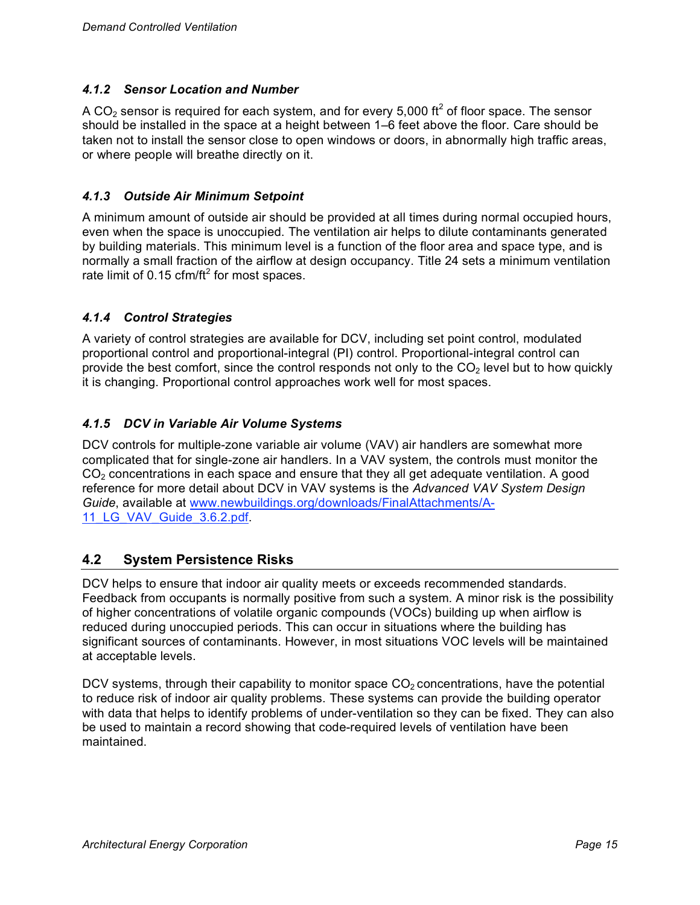#### *4.1.2 Sensor Location and Number*

A CO<sub>2</sub> sensor is required for each system, and for every 5,000 ft<sup>2</sup> of floor space. The sensor should be installed in the space at a height between 1–6 feet above the floor. Care should be taken not to install the sensor close to open windows or doors, in abnormally high traffic areas, or where people will breathe directly on it.

#### *4.1.3 Outside Air Minimum Setpoint*

A minimum amount of outside air should be provided at all times during normal occupied hours, even when the space is unoccupied. The ventilation air helps to dilute contaminants generated by building materials. This minimum level is a function of the floor area and space type, and is normally a small fraction of the airflow at design occupancy. Title 24 sets a minimum ventilation rate limit of 0.15 cfm/ft<sup>2</sup> for most spaces.

#### *4.1.4 Control Strategies*

A variety of control strategies are available for DCV, including set point control, modulated proportional control and proportional-integral (PI) control. Proportional-integral control can provide the best comfort, since the control responds not only to the  $CO<sub>2</sub>$  level but to how quickly it is changing. Proportional control approaches work well for most spaces.

#### *4.1.5 DCV in Variable Air Volume Systems*

DCV controls for multiple-zone variable air volume (VAV) air handlers are somewhat more complicated that for single-zone air handlers. In a VAV system, the controls must monitor the  $CO<sub>2</sub>$  concentrations in each space and ensure that they all get adequate ventilation. A good reference for more detail about DCV in VAV systems is the *Advanced VAV System Design Guide*, available at www.newbuildings.org/downloads/FinalAttachments/A-11 LG VAV Guide 3.6.2.pdf.

### **4.2 System Persistence Risks**

DCV helps to ensure that indoor air quality meets or exceeds recommended standards. Feedback from occupants is normally positive from such a system. A minor risk is the possibility of higher concentrations of volatile organic compounds (VOCs) building up when airflow is reduced during unoccupied periods. This can occur in situations where the building has significant sources of contaminants. However, in most situations VOC levels will be maintained at acceptable levels.

DCV systems, through their capability to monitor space  $CO<sub>2</sub>$  concentrations, have the potential to reduce risk of indoor air quality problems. These systems can provide the building operator with data that helps to identify problems of under-ventilation so they can be fixed. They can also be used to maintain a record showing that code-required levels of ventilation have been maintained.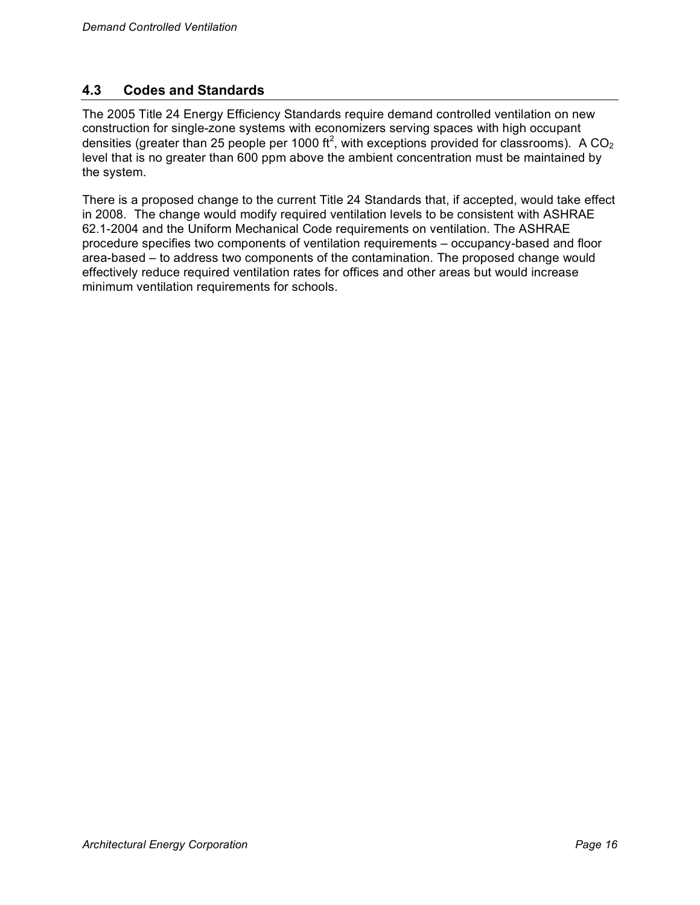### **4.3 Codes and Standards**

The 2005 Title 24 Energy Efficiency Standards require demand controlled ventilation on new construction for single-zone systems with economizers serving spaces with high occupant densities (greater than 25 people per 1000 ft<sup>2</sup>, with exceptions provided for classrooms). A CO<sub>2</sub> level that is no greater than 600 ppm above the ambient concentration must be maintained by the system.

There is a proposed change to the current Title 24 Standards that, if accepted, would take effect in 2008. The change would modify required ventilation levels to be consistent with ASHRAE 62.1-2004 and the Uniform Mechanical Code requirements on ventilation. The ASHRAE procedure specifies two components of ventilation requirements – occupancy-based and floor area-based – to address two components of the contamination. The proposed change would effectively reduce required ventilation rates for offices and other areas but would increase minimum ventilation requirements for schools.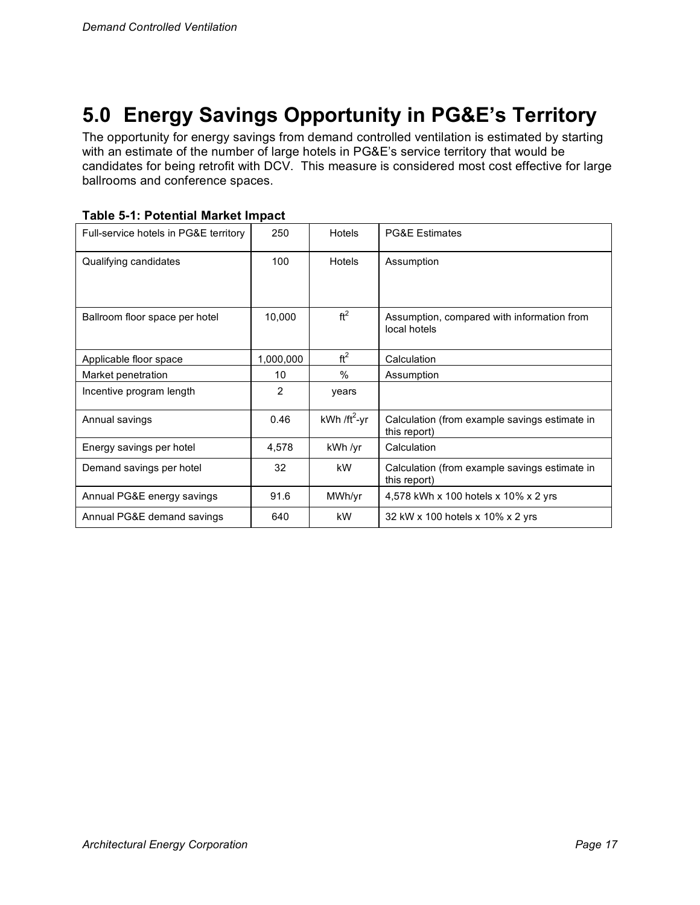# **5.0 Energy Savings Opportunity in PG&E's Territory**

The opportunity for energy savings from demand controlled ventilation is estimated by starting with an estimate of the number of large hotels in PG&E's service territory that would be candidates for being retrofit with DCV. This measure is considered most cost effective for large ballrooms and conference spaces.

| Table 5-1: Potential Market Impact |  |  |
|------------------------------------|--|--|
|------------------------------------|--|--|

| Full-service hotels in PG&E territory | 250       | Hotels           | <b>PG&amp;E Estimates</b>                                     |
|---------------------------------------|-----------|------------------|---------------------------------------------------------------|
| Qualifying candidates                 | 100       | Hotels           | Assumption                                                    |
| Ballroom floor space per hotel        | 10,000    | ft <sup>2</sup>  | Assumption, compared with information from<br>local hotels    |
| Applicable floor space                | 1,000,000 | ft <sup>2</sup>  | Calculation                                                   |
| Market penetration                    | 10        | $\frac{0}{0}$    | Assumption                                                    |
| Incentive program length              | 2         | years            |                                                               |
| Annual savings                        | 0.46      | kWh / $ft^2$ -yr | Calculation (from example savings estimate in<br>this report) |
| Energy savings per hotel              | 4,578     | kWh /yr          | Calculation                                                   |
| Demand savings per hotel              | 32        | kW.              | Calculation (from example savings estimate in<br>this report) |
| Annual PG&E energy savings            | 91.6      | MWh/yr           | 4,578 kWh x 100 hotels x 10% x 2 yrs                          |
| Annual PG&E demand savings            | 640       | kW               | 32 kW x 100 hotels x 10% x 2 yrs                              |